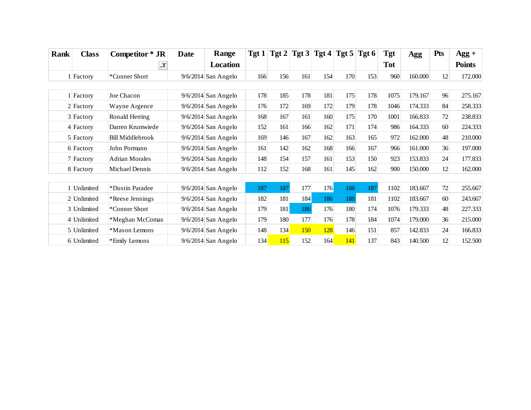| <b>Rank</b> | <b>Class</b> | Competitor * JR         | <b>Date</b> | Range                 |     | Tgt 1   Tgt 2   Tgt 3   Tgt 4   Tgt 5   Tgt 6 |     |     |     |     | Tgt        | Agg     | <b>Pts</b> | $Agg +$       |
|-------------|--------------|-------------------------|-------------|-----------------------|-----|-----------------------------------------------|-----|-----|-----|-----|------------|---------|------------|---------------|
|             |              | ÷Т                      |             | <b>Location</b>       |     |                                               |     |     |     |     | <b>Tot</b> |         |            | <b>Points</b> |
|             | 1 Factory    | *Conner Short           |             | $9/6/2014$ San Angelo | 166 | 156                                           | 161 | 154 | 170 | 153 | 960        | 160.000 | 12         | 172.000       |
|             |              |                         |             |                       |     |                                               |     |     |     |     |            |         |            |               |
|             | 1 Factory    | Joe Chacon              |             | $9/6/2014$ San Angelo | 178 | 185                                           | 178 | 181 | 175 | 178 | 1075       | 179.167 | 96         | 275.167       |
|             | 2 Factory    | Wayne Argence           |             | $9/6/2014$ San Angelo | 176 | 172                                           | 169 | 172 | 179 | 178 | 1046       | 174.333 | 84         | 258.333       |
|             | 3 Factory    | Ronald Herring          |             | $9/6/2014$ San Angelo | 168 | 167                                           | 161 | 160 | 175 | 170 | 1001       | 166.833 | 72         | 238.833       |
|             | 4 Factory    | Darren Krumwiede        |             | $9/6/2014$ San Angelo | 152 | 161                                           | 166 | 162 | 171 | 174 | 986        | 164.333 | 60         | 224.333       |
|             | 5 Factory    | <b>Bill Middlebrook</b> |             | $9/6/2014$ San Angelo | 169 | 146                                           | 167 | 162 | 163 | 165 | 972        | 162.000 | 48         | 210.000       |
|             | 6 Factory    | John Pormann            |             | $9/6/2014$ San Angelo | 161 | 142                                           | 162 | 168 | 166 | 167 | 966        | 161.000 | 36         | 197.000       |
|             | 7 Factory    | <b>Adrian Morales</b>   |             | $9/6/2014$ San Angelo | 148 | 154                                           | 157 | 161 | 153 | 150 | 923        | 153.833 | 24         | 177.833       |
|             | 8 Factory    | Michael Dennis          |             | $9/6/2014$ San Angelo | 112 | 152                                           | 168 | 161 | 145 | 162 | 900        | 150.000 | 12         | 162.000       |
|             |              |                         |             |                       |     |                                               |     |     |     |     |            |         |            |               |
|             | 1 Unlimited  | *Dustin Paradee         |             | $9/6/2014$ San Angelo | 187 | 187                                           | 177 | 176 | 188 | 187 | 1102       | 183.667 | 72         | 255.667       |
|             | 2 Unlimited  | *Reese Jennings         |             | $9/6/2014$ San Angelo | 182 | 181                                           | 184 | 186 | 188 | 181 | 1102       | 183.667 | 60         | 243.667       |
|             | 3 Unlimited  | *Conner Short           |             | $9/6/2014$ San Angelo | 179 | 181                                           | 186 | 176 | 180 | 174 | 1076       | 179.333 | 48         | 227.333       |
|             | 4 Unlimited  | *Meghan McComas         |             | $9/6/2014$ San Angelo | 179 | 180                                           | 177 | 176 | 178 | 184 | 1074       | 179.000 | 36         | 215.000       |
|             | 5 Unlimited  | *Mason Lemons           |             | $9/6/2014$ San Angelo | 148 | 134                                           | 150 | 128 | 146 | 151 | 857        | 142.833 | 24         | 166.833       |
|             | 6 Unlimited  | *Emily Lemons           |             | $9/6/2014$ San Angelo | 134 | <b>115</b>                                    | 152 | 164 | 141 | 137 | 843        | 140.500 | 12         | 152.500       |